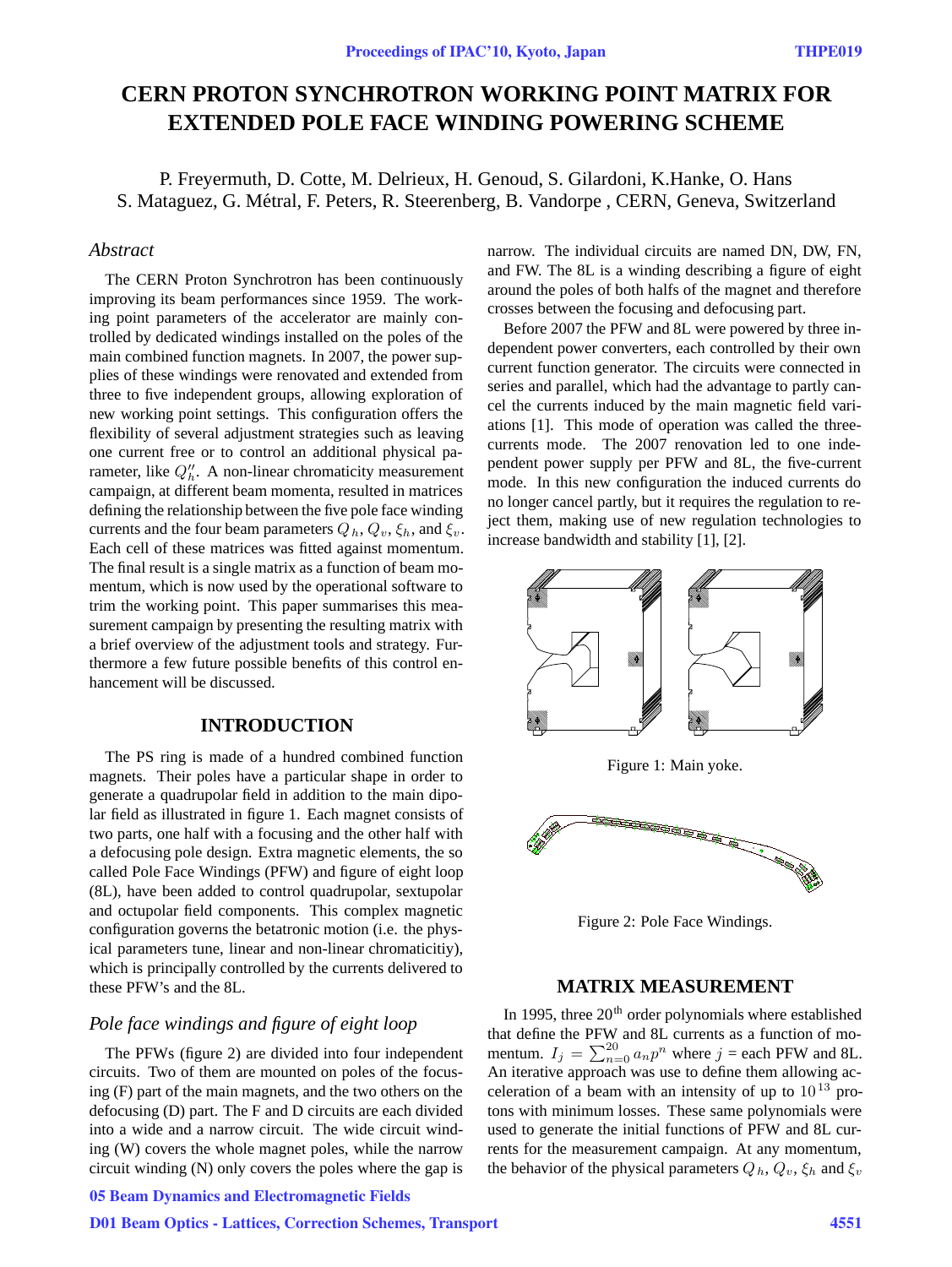# **CERN PROTON SYNCHROTRON WORKING POINT MATRIX FOR EXTENDED POLE FACE WINDING POWERING SCHEME**

P. Freyermuth, D. Cotte, M. Delrieux, H. Genoud, S. Gilardoni, K.Hanke, O. Hans S. Mataguez, G. Métral, F. Peters, R. Steerenberg, B. Vandorpe, CERN, Geneva, Switzerland

# *Abstract*

The CERN Proton Synchrotron has been continuously improving its beam performances since 1959. The working point parameters of the accelerator are mainly controlled by dedicated windings installed on the poles of the main combined function magnets. In 2007, the power supplies of these windings were renovated and extended from three to five independent groups, allowing exploration of new working point settings. This configuration offers the flexibility of several adjustment strategies such as leaving one current free or to control an additional physical parameter, like  $Q''_h$ . A non-linear chromaticity measurement campaign, at different beam momenta, resulted in matrices defining the relationship between the five pole face winding currents and the four beam parameters  $Q_h$ ,  $Q_v$ ,  $\xi_h$ , and  $\xi_v$ . Each cell of these matrices was fitted against momentum. The final result is a single matrix as a function of beam momentum, which is now used by the operational software to trim the working point. This paper summarises this measurement campaign by presenting the resulting matrix with a brief overview of the adjustment tools and strategy. Furthermore a few future possible benefits of this control enhancement will be discussed.

## **INTRODUCTION**

The PS ring is made of a hundred combined function magnets. Their poles have a particular shape in order to generate a quadrupolar field in addition to the main dipolar field as illustrated in figure 1. Each magnet consists of two parts, one half with a focusing and the other half with a defocusing pole design. Extra magnetic elements, the so called Pole Face Windings (PFW) and figure of eight loop (8L), have been added to control quadrupolar, sextupolar and octupolar field components. This complex magnetic configuration governs the betatronic motion (i.e. the physical parameters tune, linear and non-linear chromaticitiy), which is principally controlled by the currents delivered to these PFW's and the 8L.

# *Pole face windings and figure of eight loop*

The PFWs (figure 2) are divided into four independent circuits. Two of them are mounted on poles of the focusing (F) part of the main magnets, and the two others on the defocusing (D) part. The F and D circuits are each divided into a wide and a narrow circuit. The wide circuit winding (W) covers the whole magnet poles, while the narrow circuit winding (N) only covers the poles where the gap is

# 05 Beam Dynamics and Electromagnetic Fields

## D01 Beam Optics - Lattices, Correction Schemes, Transport 4551

narrow. The individual circuits are named DN, DW, FN, and FW. The 8L is a winding describing a figure of eight around the poles of both halfs of the magnet and therefore crosses between the focusing and defocusing part.

Before 2007 the PFW and 8L were powered by three independent power converters, each controlled by their own current function generator. The circuits were connected in series and parallel, which had the advantage to partly cancel the currents induced by the main magnetic field variations [1]. This mode of operation was called the threecurrents mode. The 2007 renovation led to one independent power supply per PFW and 8L, the five-current mode. In this new configuration the induced currents do no longer cancel partly, but it requires the regulation to reject them, making use of new regulation technologies to increase bandwidth and stability [1], [2].



Figure 2: Pole Face Windings.

## **MATRIX MEASUREMENT**

In 1995, three  $20<sup>th</sup>$  order polynomials where established that define the PFW and 8L currents as a function of momentum.  $I_j = \sum_{n=0}^{20} a_n p^n$  where  $j =$  each PFW and 8L. An iterative approach was use to define them allowing acceleration of a beam with an intensity of up to  $10^{13}$  protons with minimum losses. These same polynomials were used to generate the initial functions of PFW and 8L currents for the measurement campaign. At any momentum, the behavior of the physical parameters  $Q_h$ ,  $Q_v$ ,  $\xi_h$  and  $\xi_v$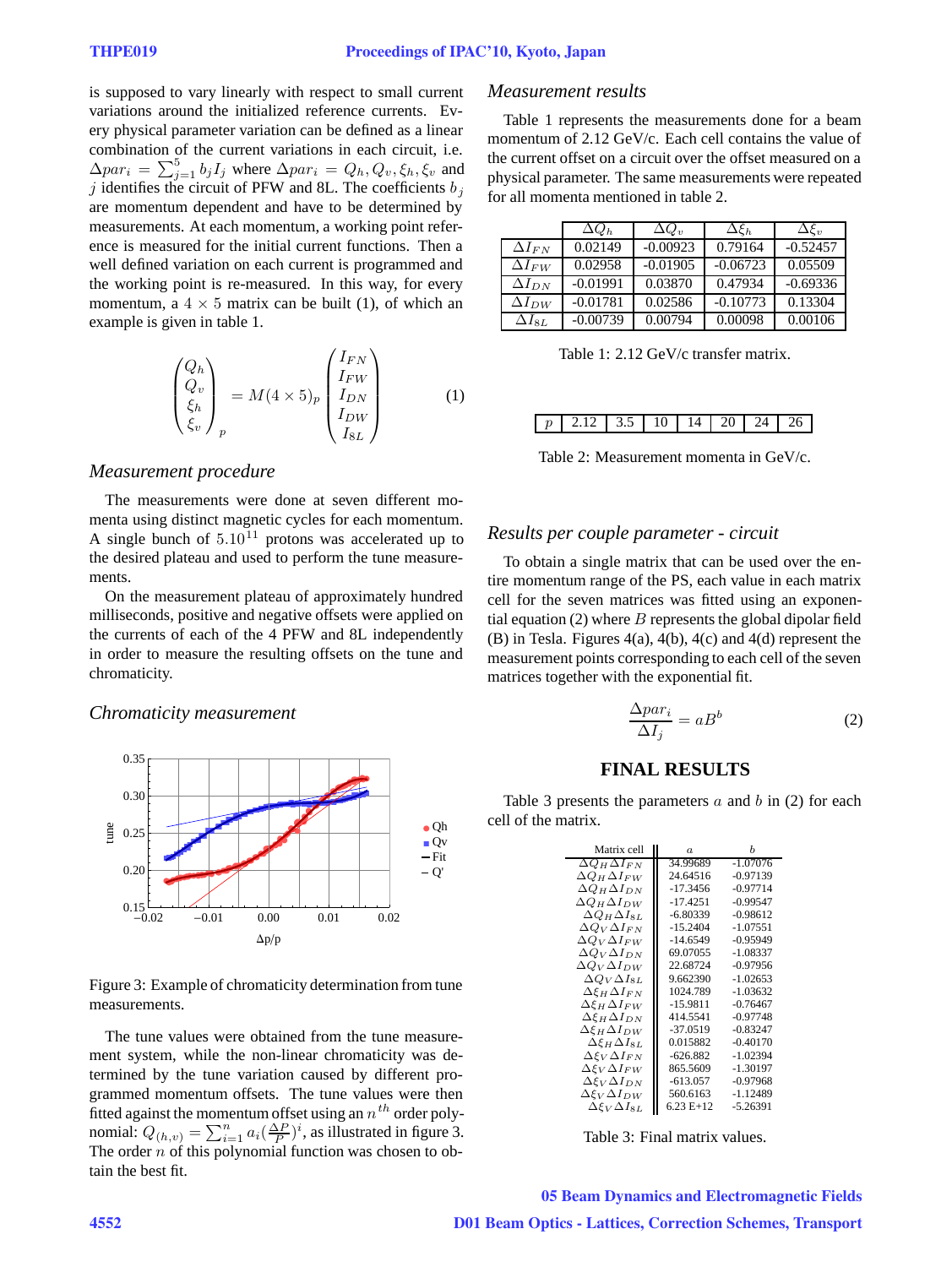is supposed to vary linearly with respect to small current variations around the initialized reference currents. Every physical parameter variation can be defined as a linear combination of the current variations in each circuit, i.e.  $\Delta par_i = \sum_{j=1}^5 b_j I_j$  where  $\Delta par_i = Q_h, Q_v, \xi_h, \xi_v$  and j identifies the circuit of PFW and 8L. The coefficients  $b_j$ are momentum dependent and have to be determined by measurements. At each momentum, a working point reference is measured for the initial current functions. Then a well defined variation on each current is programmed and the working point is re-measured. In this way, for every momentum, a  $4 \times 5$  matrix can be built (1), of which an example is given in table 1.

$$
\begin{pmatrix}\nQ_h \\
Q_v \\
\xi_h \\
\xi_v\n\end{pmatrix}_p = M(4 \times 5)_p \begin{pmatrix}\nI_{FN} \\
I_{FN} \\
I_{DN} \\
I_{SL}\n\end{pmatrix}
$$
\n(1)

#### *Measurement procedure*

The measurements were done at seven different momenta using distinct magnetic cycles for each momentum. A single bunch of  $5.10^{11}$  protons was accelerated up to the desired plateau and used to perform the tune measurements.

On the measurement plateau of approximately hundred milliseconds, positive and negative offsets were applied on the currents of each of the 4 PFW and 8L independently in order to measure the resulting offsets on the tune and chromaticity.

#### *Chromaticity measurement*



Figure 3: Example of chromaticity determination from tune measurements.

The tune values were obtained from the tune measurement system, while the non-linear chromaticity was determined by the tune variation caused by different programmed momentum offsets. The tune values were then fitted against the momentum offset using an  $n<sup>th</sup>$  order polynomial:  $Q_{(h,v)} = \sum_{i=1}^{n} a_i \left(\frac{\Delta P}{P}\right)^i$ , as illustrated in figure 3. The order  $n$  of this polynomial function was chosen to obtain the best fit.

#### *Measurement results*

Table 1 represents the measurements done for a beam momentum of 2.12 GeV/c. Each cell contains the value of the current offset on a circuit over the offset measured on a physical parameter. The same measurements were repeated for all momenta mentioned in table 2.

|                 | $\Delta Q_h$ | $\Delta Q_v$ | $\Delta \mathcal{E}_h$ | $\Delta \mathcal{E}_v$ |
|-----------------|--------------|--------------|------------------------|------------------------|
| $\Delta I_{FN}$ | 0.02149      | $-0.00923$   | 0.79164                | $-0.52457$             |
| $\Delta I_{FW}$ | 0.02958      | $-0.01905$   | $-0.06723$             | 0.05509                |
| $\Delta I_{DN}$ | $-0.01991$   | 0.03870      | 0.47934                | $-0.69336$             |
| $\Delta I_{DW}$ | $-0.01781$   | 0.02586      | $-0.10773$             | 0.13304                |
| $\Delta I_{8L}$ | $-0.00739$   | 0.00794      | 0.00098                | 0.00106                |

Table 1: 2.12 GeV/c transfer matrix.

| $\mathbf{I}$ |  |  | Λ |  |  |
|--------------|--|--|---|--|--|

Table 2: Measurement momenta in GeV/c.

## *Results per couple parameter - circuit*

To obtain a single matrix that can be used over the entire momentum range of the PS, each value in each matrix cell for the seven matrices was fitted using an exponential equation (2) where  $B$  represents the global dipolar field (B) in Tesla. Figures 4(a), 4(b), 4(c) and 4(d) represent the measurement points corresponding to each cell of the seven matrices together with the exponential fit.

$$
\frac{\Delta par_i}{\Delta I_j} = aB^b \tag{2}
$$

## **FINAL RESULTS**

Table 3 presents the parameters  $a$  and  $b$  in (2) for each cell of the matrix.

| Matrix cell                          | $\alpha$    | h          |  |
|--------------------------------------|-------------|------------|--|
| $\Delta Q_H \Delta I_{FN}$           | 34.99689    | $-1.07076$ |  |
| $\Delta Q_H \Delta I_{FW}$           | 24.64516    | $-0.97139$ |  |
| $\Delta Q_H \Delta I_{DN}$           | $-17.3456$  | $-0.97714$ |  |
| $\Delta Q_H \Delta I_{DW}$           | $-17.4251$  | $-0.99547$ |  |
| $\Delta Q_H \Delta I_{8L}$           | $-6.80339$  | $-0.98612$ |  |
| $\Delta Q_V \Delta I_{FN}$           | $-15.2404$  | $-1.07551$ |  |
| $\Delta Q_V \Delta I_{FW}$           | $-14.6549$  | $-0.95949$ |  |
| $\Delta Q_V \Delta I_{DN}$           | 69.07055    | $-1.08337$ |  |
| $\Delta Q_V \Delta I_{DW}$           | 22.68724    | $-0.97956$ |  |
| $\Delta Q_V \Delta I_{8L}$           | 9.662390    | $-1.02653$ |  |
| $\Delta \xi_H \Delta I_{FN}$         | 1024.789    | $-1.03632$ |  |
| $\Delta \varepsilon_H \Delta I_{FW}$ | $-15.9811$  | $-0.76467$ |  |
| $\Delta \xi_H \Delta I_{DN}$         | 414.5541    | $-0.97748$ |  |
| $\Delta \xi_H \Delta I_{DW}$         | $-37.0519$  | $-0.83247$ |  |
| $\Delta \xi_H \Delta I_{8L}$         | 0.015882    | $-0.40170$ |  |
| $\Delta \varepsilon_V \Delta I_{FN}$ | $-626.882$  | $-1.02394$ |  |
| $\Delta \varepsilon_V \Delta I_{FW}$ | 865.5609    | $-1.30197$ |  |
| $\Delta \varepsilon_V \Delta I_{DN}$ | $-613.057$  | -0.97968   |  |
| $\Delta \varepsilon_V \Delta I_{DW}$ | 560.6163    | -1.12489   |  |
| $\Delta \varepsilon_V \Delta I_{8L}$ | $6.23 E+12$ | -5.26391   |  |

Table 3: Final matrix values.

05 Beam Dynamics and Electromagnetic Fields D01 Beam Optics - Lattices, Correction Schemes, Transport